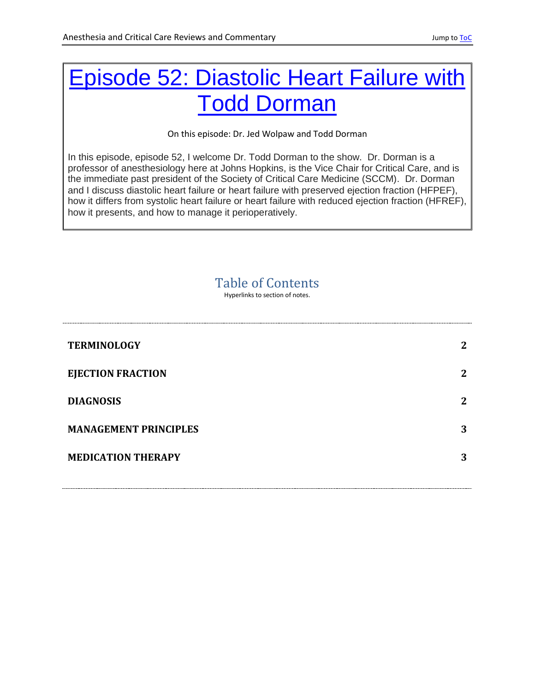# <span id="page-0-0"></span>[Episode 52: Diastolic Heart Failure with](http://accrac.com/episode-52-diastolic-heart-failure-with-todd-dorman/)  [Todd Dorman](http://accrac.com/episode-52-diastolic-heart-failure-with-todd-dorman/)

On this episode: Dr. Jed Wolpaw and Todd Dorman

In this episode, episode 52, I welcome Dr. Todd Dorman to the show. Dr. Dorman is a professor of anesthesiology here at Johns Hopkins, is the Vice Chair for Critical Care, and is the immediate past president of the Society of Critical Care Medicine (SCCM). Dr. Dorman and I discuss diastolic heart failure or heart failure with preserved ejection fraction (HFPEF), how it differs from systolic heart failure or heart failure with reduced ejection fraction (HFREF), how it presents, and how to manage it perioperatively.

# Table of Contents

Hyperlinks to section of notes.

| <b>TERMINOLOGY</b>           | $\mathbf{2}$ |
|------------------------------|--------------|
| <b>EJECTION FRACTION</b>     | $\mathbf{2}$ |
| <b>DIAGNOSIS</b>             | 2            |
| <b>MANAGEMENT PRINCIPLES</b> | 3            |
| <b>MEDICATION THERAPY</b>    | 3            |
|                              |              |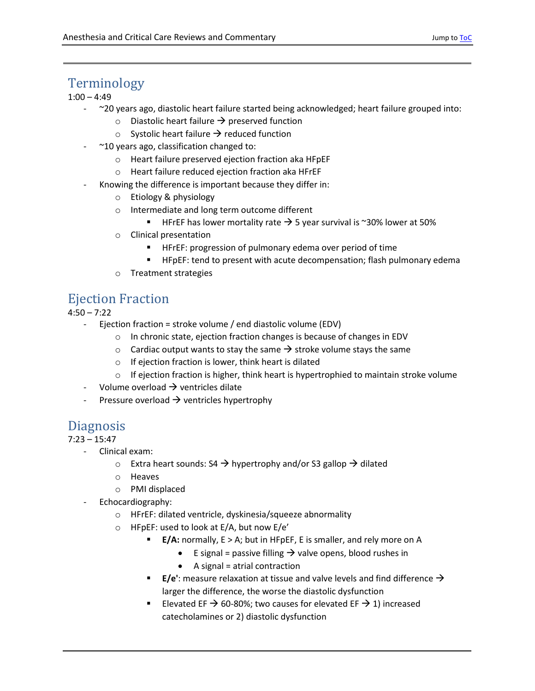#### <span id="page-1-0"></span>Terminology

 $1:00 - 4:49$ 

- ~20 years ago, diastolic heart failure started being acknowledged; heart failure grouped into:
	- $\circ$  Diastolic heart failure  $\rightarrow$  preserved function
	- $\circ$  Systolic heart failure  $\rightarrow$  reduced function
- $\sim$  10 years ago, classification changed to:
	- o Heart failure preserved ejection fraction aka HFpEF
	- o Heart failure reduced ejection fraction aka HFrEF
- Knowing the difference is important because they differ in:
	- o Etiology & physiology
	- o Intermediate and long term outcome different
		- HFrEF has lower mortality rate  $\rightarrow$  5 year survival is ~30% lower at 50%
	- o Clinical presentation
		- **HERF:** progression of pulmonary edema over period of time
		- HFpEF: tend to present with acute decompensation; flash pulmonary edema
	- o Treatment strategies

## <span id="page-1-1"></span>Ejection Fraction

 $4:50 - 7:22$ 

- Ejection fraction = stroke volume / end diastolic volume (EDV)
	- o In chronic state, ejection fraction changes is because of changes in EDV
	- $\circ$  Cardiac output wants to stay the same  $\rightarrow$  stroke volume stays the same
	- o If ejection fraction is lower, think heart is dilated
	- $\circ$  If ejection fraction is higher, think heart is hypertrophied to maintain stroke volume
- Volume overload  $\rightarrow$  ventricles dilate
- Pressure overload  $\rightarrow$  ventricles hypertrophy

### <span id="page-1-2"></span>**Diagnosis**

 $7:23 - 15:47$ 

- Clinical exam:
	- $\circ$  Extra heart sounds: S4  $\rightarrow$  hypertrophy and/or S3 gallop  $\rightarrow$  dilated
	- o Heaves
	- o PMI displaced
- Echocardiography:
	- o HFrEF: dilated ventricle, dyskinesia/squeeze abnormality
	- o HFpEF: used to look at E/A, but now E/e'
		- **E/A:** normally, E > A; but in HFpEF, E is smaller, and rely more on A
			- E signal = passive filling  $\rightarrow$  valve opens, blood rushes in
			- $\bullet$  A signal = atrial contraction
		- **E/e':** measure relaxation at tissue and valve levels and find difference  $\rightarrow$ larger the difference, the worse the diastolic dysfunction
		- Elevated EF  $\rightarrow$  60-80%; two causes for elevated EF  $\rightarrow$  1) increased catecholamines or 2) diastolic dysfunction